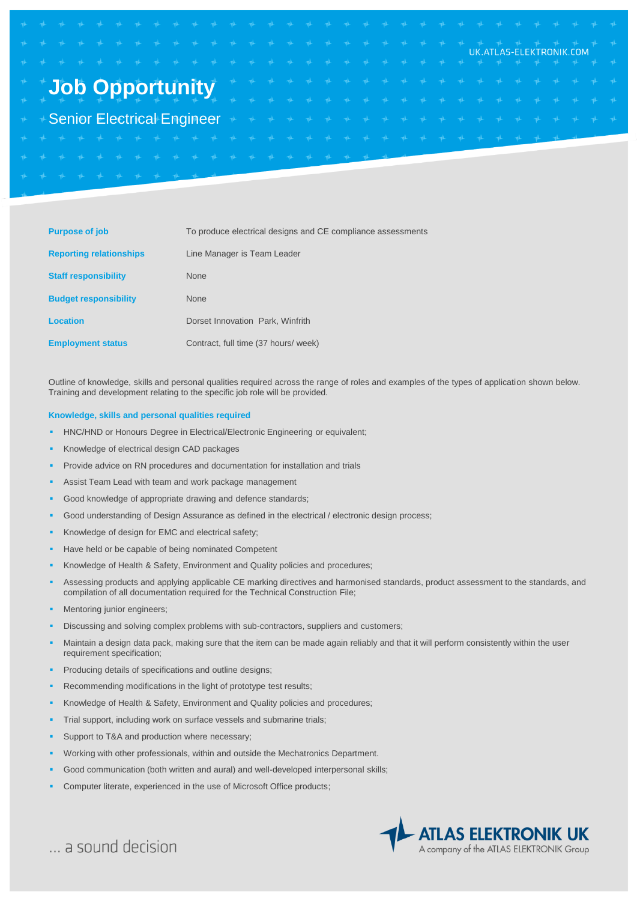|  |  |  |  |  |  |  |  |  |  |  |  |  |  | UK.ATLAS-ELEKTRONIK.COM                                  |  |  |
|--|--|--|--|--|--|--|--|--|--|--|--|--|--|----------------------------------------------------------|--|--|
|  |  |  |  |  |  |  |  |  |  |  |  |  |  |                                                          |  |  |
|  |  |  |  |  |  |  |  |  |  |  |  |  |  | <b>Job Opportunity</b> the external extent extent extent |  |  |
|  |  |  |  |  |  |  |  |  |  |  |  |  |  |                                                          |  |  |
|  |  |  |  |  |  |  |  |  |  |  |  |  |  |                                                          |  |  |
|  |  |  |  |  |  |  |  |  |  |  |  |  |  |                                                          |  |  |
|  |  |  |  |  |  |  |  |  |  |  |  |  |  |                                                          |  |  |

| <b>Purpose of job</b>          | To produce electrical designs and CE compliance assessments |
|--------------------------------|-------------------------------------------------------------|
| <b>Reporting relationships</b> | Line Manager is Team Leader                                 |
| <b>Staff responsibility</b>    | <b>None</b>                                                 |
| <b>Budget responsibility</b>   | <b>None</b>                                                 |
| Location                       | Dorset Innovation Park, Winfrith                            |
| <b>Employment status</b>       | Contract, full time (37 hours/ week)                        |

Outline of knowledge, skills and personal qualities required across the range of roles and examples of the types of application shown below. Training and development relating to the specific job role will be provided.

## **Knowledge, skills and personal qualities required**

- HNC/HND or Honours Degree in Electrical/Electronic Engineering or equivalent;
- Knowledge of electrical design CAD packages
- Provide advice on RN procedures and documentation for installation and trials
- Assist Team Lead with team and work package management
- Good knowledge of appropriate drawing and defence standards;
- Good understanding of Design Assurance as defined in the electrical / electronic design process;
- Knowledge of design for EMC and electrical safety;
- Have held or be capable of being nominated Competent
- Knowledge of Health & Safety, Environment and Quality policies and procedures;
- Assessing products and applying applicable CE marking directives and harmonised standards, product assessment to the standards, and compilation of all documentation required for the Technical Construction File;
- Mentoring junior engineers;
- Discussing and solving complex problems with sub-contractors, suppliers and customers;
- Maintain a design data pack, making sure that the item can be made again reliably and that it will perform consistently within the user requirement specification;
- Producing details of specifications and outline designs;
- Recommending modifications in the light of prototype test results;
- Knowledge of Health & Safety, Environment and Quality policies and procedures;
- Trial support, including work on surface vessels and submarine trials;
- Support to T&A and production where necessary;
- Working with other professionals, within and outside the Mechatronics Department.
- Good communication (both written and aural) and well-developed interpersonal skills;
- Computer literate, experienced in the use of Microsoft Office products;



... a sound decision